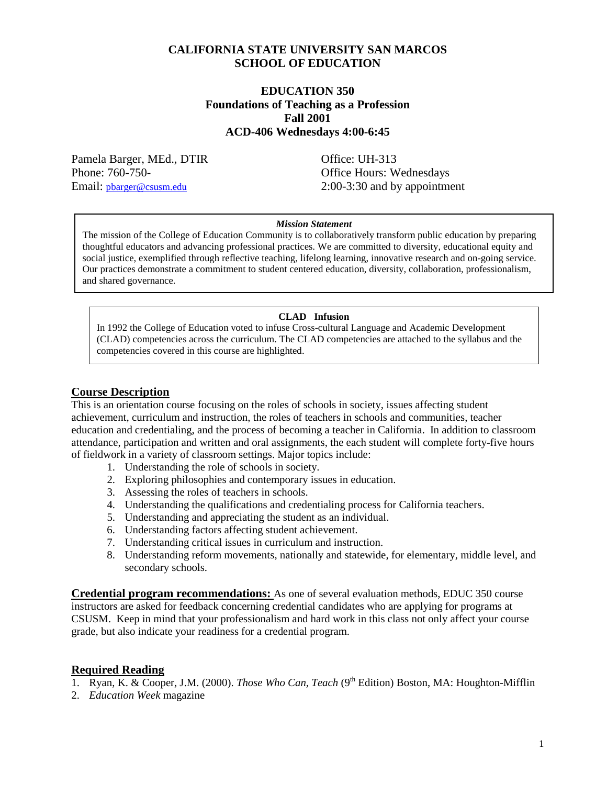## **CALIFORNIA STATE UNIVERSITY SAN MARCOS SCHOOL OF EDUCATION**

#### **EDUCATION 350 Foundations of Teaching as a Profession Fall 2001 ACD-406 Wednesdays 4:00-6:45**

Pamela Barger, MEd., DTIR Office: UH-313 Phone: 760-750-<br>
Office Hours: Wednesdays

Email: pharger@csusm.edu 2:00-3:30 and by appointment

#### *Mission Statement*

The mission of the College of Education Community is to collaboratively transform public education by preparing thoughtful educators and advancing professional practices. We are committed to diversity, educational equity and social justice, exemplified through reflective teaching, lifelong learning, innovative research and on-going service. Our practices demonstrate a commitment to student centered education, diversity, collaboration, professionalism, and shared governance.

#### **CLAD Infusion**

In 1992 the College of Education voted to infuse Cross-cultural Language and Academic Development (CLAD) competencies across the curriculum. The CLAD competencies are attached to the syllabus and the competencies covered in this course are highlighted.

#### **Course Description**

This is an orientation course focusing on the roles of schools in society, issues affecting student achievement, curriculum and instruction, the roles of teachers in schools and communities, teacher education and credentialing, and the process of becoming a teacher in California. In addition to classroom attendance, participation and written and oral assignments, the each student will complete forty-five hours of fieldwork in a variety of classroom settings. Major topics include:

- 1. Understanding the role of schools in society.
- 2. Exploring philosophies and contemporary issues in education.
- 3. Assessing the roles of teachers in schools.
- 4. Understanding the qualifications and credentialing process for California teachers.
- 5. Understanding and appreciating the student as an individual.
- 6. Understanding factors affecting student achievement.
- 7. Understanding critical issues in curriculum and instruction.
- 8. Understanding reform movements, nationally and statewide, for elementary, middle level, and secondary schools.

**Credential program recommendations:** As one of several evaluation methods, EDUC 350 course instructors are asked for feedback concerning credential candidates who are applying for programs at CSUSM. Keep in mind that your professionalism and hard work in this class not only affect your course grade, but also indicate your readiness for a credential program.

#### **Required Reading**

- 1. Ryan, K. & Cooper, J.M. (2000). *Those Who Can, Teach* (9<sup>th</sup> Edition) Boston, MA: Houghton-Mifflin
- 2. *Education Week* magazine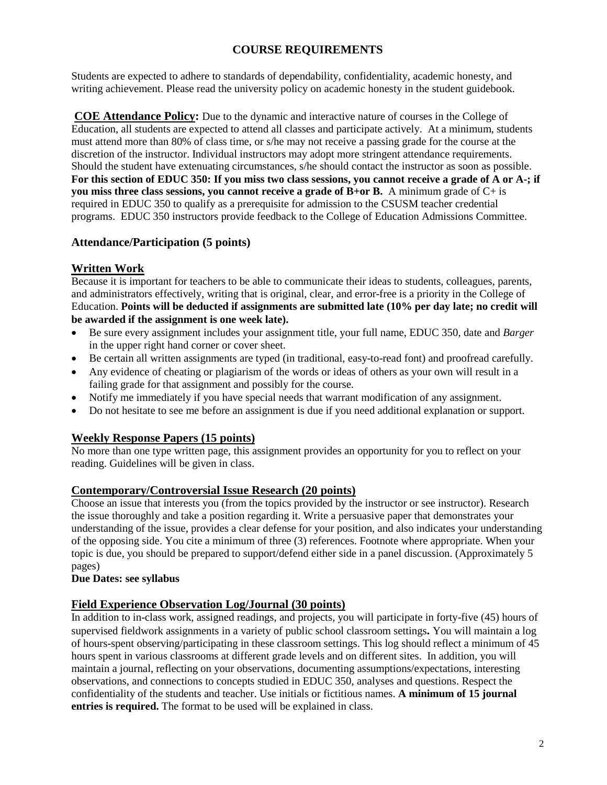## **COURSE REQUIREMENTS**

Students are expected to adhere to standards of dependability, confidentiality, academic honesty, and writing achievement. Please read the university policy on academic honesty in the student guidebook.

**COE Attendance Policy:** Due to the dynamic and interactive nature of courses in the College of Education, all students are expected to attend all classes and participate actively. At a minimum, students must attend more than 80% of class time, or s/he may not receive a passing grade for the course at the discretion of the instructor. Individual instructors may adopt more stringent attendance requirements. Should the student have extenuating circumstances, s/he should contact the instructor as soon as possible. **For this section of EDUC 350: If you miss two class sessions, you cannot receive a grade of A or A-; if you miss three class sessions, you cannot receive a grade of B+or B.** A minimum grade of C+ is required in EDUC 350 to qualify as a prerequisite for admission to the CSUSM teacher credential programs. EDUC 350 instructors provide feedback to the College of Education Admissions Committee.

## **Attendance/Participation (5 points)**

## **Written Work**

Because it is important for teachers to be able to communicate their ideas to students, colleagues, parents, and administrators effectively, writing that is original, clear, and error-free is a priority in the College of Education. **Points will be deducted if assignments are submitted late (10% per day late; no credit will be awarded if the assignment is one week late).**

- Be sure every assignment includes your assignment title, your full name, EDUC 350, date and *Barger* in the upper right hand corner or cover sheet.
- Be certain all written assignments are typed (in traditional, easy-to-read font) and proofread carefully.
- Any evidence of cheating or plagiarism of the words or ideas of others as your own will result in a failing grade for that assignment and possibly for the course.
- Notify me immediately if you have special needs that warrant modification of any assignment.
- Do not hesitate to see me before an assignment is due if you need additional explanation or support.

#### **Weekly Response Papers (15 points)**

No more than one type written page, this assignment provides an opportunity for you to reflect on your reading. Guidelines will be given in class.

#### **Contemporary/Controversial Issue Research (20 points)**

Choose an issue that interests you (from the topics provided by the instructor or see instructor). Research the issue thoroughly and take a position regarding it. Write a persuasive paper that demonstrates your understanding of the issue, provides a clear defense for your position, and also indicates your understanding of the opposing side. You cite a minimum of three (3) references. Footnote where appropriate. When your topic is due, you should be prepared to support/defend either side in a panel discussion. (Approximately 5 pages)

#### **Due Dates: see syllabus**

#### **Field Experience Observation Log/Journal (30 points)**

In addition to in-class work, assigned readings, and projects, you will participate in forty-five (45) hours of supervised fieldwork assignments in a variety of public school classroom settings**.** You will maintain a log of hours-spent observing/participating in these classroom settings. This log should reflect a minimum of 45 hours spent in various classrooms at different grade levels and on different sites. In addition, you will maintain a journal, reflecting on your observations, documenting assumptions/expectations, interesting observations, and connections to concepts studied in EDUC 350, analyses and questions. Respect the confidentiality of the students and teacher. Use initials or fictitious names. **A minimum of 15 journal entries is required.** The format to be used will be explained in class.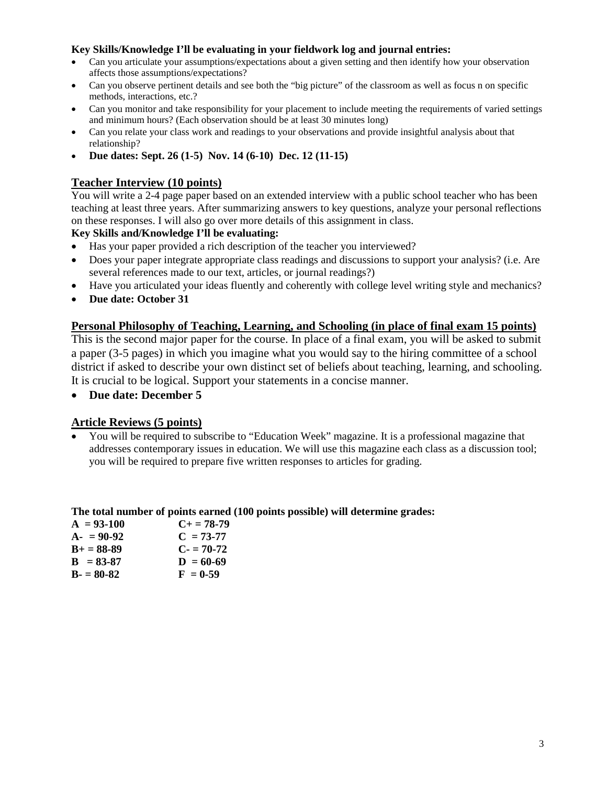#### **Key Skills/Knowledge I'll be evaluating in your fieldwork log and journal entries:**

- Can you articulate your assumptions/expectations about a given setting and then identify how your observation affects those assumptions/expectations?
- Can you observe pertinent details and see both the "big picture" of the classroom as well as focus n on specific methods, interactions, etc.?
- Can you monitor and take responsibility for your placement to include meeting the requirements of varied settings and minimum hours? (Each observation should be at least 30 minutes long)
- Can you relate your class work and readings to your observations and provide insightful analysis about that relationship?
- **Due dates: Sept. 26 (1-5) Nov. 14 (6-10) Dec. 12 (11-15)**

### **Teacher Interview (10 points)**

You will write a 2-4 page paper based on an extended interview with a public school teacher who has been teaching at least three years. After summarizing answers to key questions, analyze your personal reflections on these responses. I will also go over more details of this assignment in class.

#### **Key Skills and/Knowledge I'll be evaluating:**

- Has your paper provided a rich description of the teacher you interviewed?
- Does your paper integrate appropriate class readings and discussions to support your analysis? (i.e. Are several references made to our text, articles, or journal readings?)
- Have you articulated your ideas fluently and coherently with college level writing style and mechanics?
- **Due date: October 31**

#### **Personal Philosophy of Teaching, Learning, and Schooling (in place of final exam 15 points)**

This is the second major paper for the course. In place of a final exam, you will be asked to submit a paper (3-5 pages) in which you imagine what you would say to the hiring committee of a school district if asked to describe your own distinct set of beliefs about teaching, learning, and schooling. It is crucial to be logical. Support your statements in a concise manner.

• **Due date: December 5**

#### **Article Reviews (5 points)**

• You will be required to subscribe to "Education Week" magazine. It is a professional magazine that addresses contemporary issues in education. We will use this magazine each class as a discussion tool; you will be required to prepare five written responses to articles for grading.

#### **The total number of points earned (100 points possible) will determine grades:**

| $A = 93-100$  | $C_{\pm} = 78-79$ |
|---------------|-------------------|
| $A - 90-92$   | $C = 73-77$       |
| $B+ = 88-89$  | $C = 70-72$       |
| $B = 83 - 87$ | $D = 60-69$       |
| $B - 80 - 82$ | $F = 0.59$        |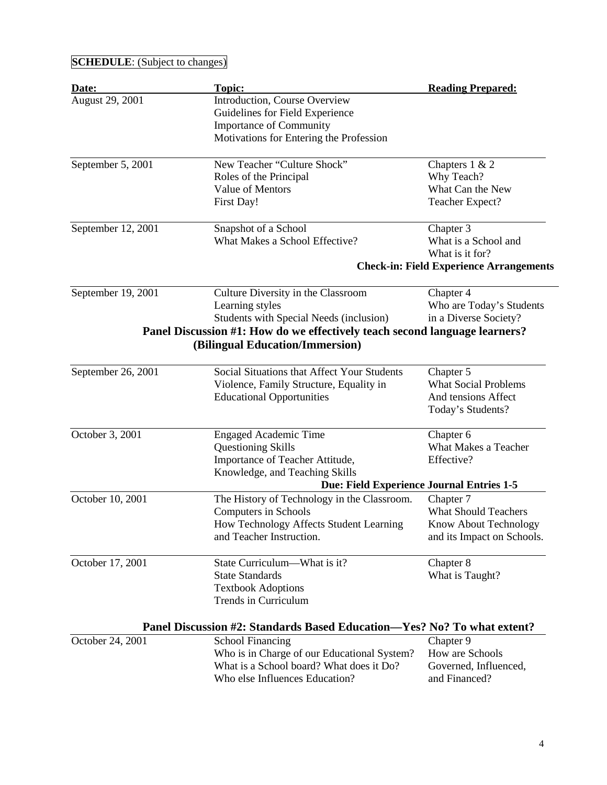# **SCHEDULE**: (Subject to changes)

| Date:              | <b>Topic:</b>                                                              | <b>Reading Prepared:</b>                       |
|--------------------|----------------------------------------------------------------------------|------------------------------------------------|
| August 29, 2001    | Introduction, Course Overview                                              |                                                |
|                    | Guidelines for Field Experience                                            |                                                |
|                    | <b>Importance of Community</b>                                             |                                                |
|                    | Motivations for Entering the Profession                                    |                                                |
| September 5, 2001  | New Teacher "Culture Shock"                                                | Chapters $1 & 2$                               |
|                    | Roles of the Principal                                                     | Why Teach?                                     |
|                    | Value of Mentors                                                           | What Can the New                               |
|                    | First Day!                                                                 | Teacher Expect?                                |
| September 12, 2001 | Snapshot of a School                                                       | Chapter 3                                      |
|                    | What Makes a School Effective?                                             | What is a School and                           |
|                    |                                                                            | What is it for?                                |
|                    |                                                                            | <b>Check-in: Field Experience Arrangements</b> |
| September 19, 2001 | Culture Diversity in the Classroom                                         | Chapter 4                                      |
|                    | Learning styles                                                            | Who are Today's Students                       |
|                    | Students with Special Needs (inclusion)                                    | in a Diverse Society?                          |
|                    | Panel Discussion #1: How do we effectively teach second language learners? |                                                |
|                    | (Bilingual Education/Immersion)                                            |                                                |
| September 26, 2001 | Social Situations that Affect Your Students                                | Chapter 5                                      |
|                    | Violence, Family Structure, Equality in                                    | <b>What Social Problems</b>                    |
|                    | <b>Educational Opportunities</b>                                           | And tensions Affect                            |
|                    |                                                                            | Today's Students?                              |
| October 3, 2001    | <b>Engaged Academic Time</b>                                               | Chapter 6                                      |
|                    | <b>Questioning Skills</b>                                                  | What Makes a Teacher                           |
|                    | Importance of Teacher Attitude,                                            | Effective?                                     |
|                    | Knowledge, and Teaching Skills                                             |                                                |
|                    | Due: Field Experience Journal Entries 1-5                                  |                                                |
| October 10, 2001   | The History of Technology in the Classroom.                                | Chapter 7                                      |
|                    | Computers in Schools                                                       | <b>What Should Teachers</b>                    |
|                    | How Technology Affects Student Learning                                    | Know About Technology                          |
|                    | and Teacher Instruction.                                                   | and its Impact on Schools.                     |
| October 17, 2001   | State Curriculum—What is it?                                               | Chapter 8                                      |
|                    | <b>State Standards</b>                                                     | What is Taught?                                |
|                    | <b>Textbook Adoptions</b>                                                  |                                                |
|                    | Trends in Curriculum                                                       |                                                |
|                    | Panel Discussion #2: Standards Based Education—Yes? No? To what extent?    |                                                |
| October 24, 2001   | <b>School Financing</b>                                                    | Chapter 9                                      |
|                    | Who is in Charge of our Educational System?                                | How are Schools                                |
|                    | What is a School board? What does it Do?                                   | Governed, Influenced,                          |
|                    | Who else Influences Education?                                             | and Financed?                                  |